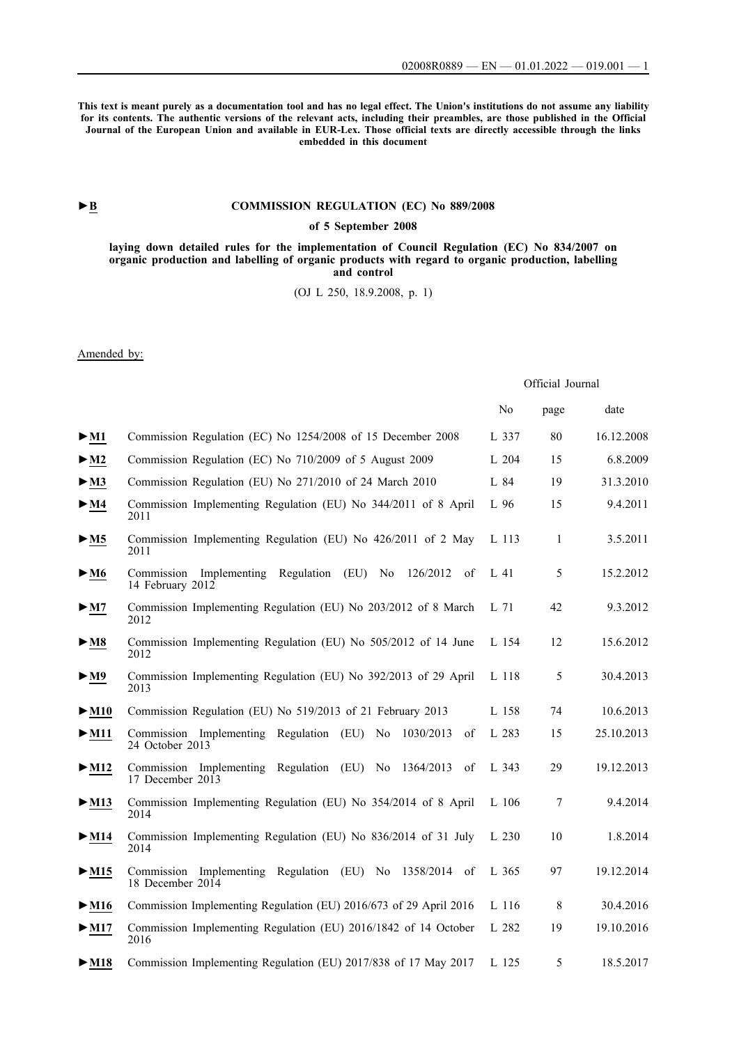Official Journal

**This text is meant purely as a documentation tool and has no legal effect. The Union's institutions do not assume any liability for its contents. The authentic versions of the relevant acts, including their preambles, are those published in the Official Journal of the European Union and available in EUR-Lex. Those official texts are directly accessible through the links embedded in this document**

## **►B [COMMISSION REGULATION \(EC\) No 889/2008](http://data.europa.eu/eli/reg/2008/889/oj/eng)**

### **[of 5 September 2008](http://data.europa.eu/eli/reg/2008/889/oj/eng)**

**[laying down detailed rules for the implementation of Council Regulation \(EC\) No 834/2007 on](http://data.europa.eu/eli/reg/2008/889/oj/eng) [organic production and labelling of organic products with regard to organic production, labelling](http://data.europa.eu/eli/reg/2008/889/oj/eng) [and control](http://data.europa.eu/eli/reg/2008/889/oj/eng)**

[\(OJ L 250, 18.9.2008, p. 1\)](http://data.europa.eu/eli/reg/2008/889/oj/eng)

Amended by:

|                                      |                                                                                             | No    | page | date       |
|--------------------------------------|---------------------------------------------------------------------------------------------|-------|------|------------|
| $\blacktriangleright$ M1             | Commission Regulation (EC) No 1254/2008 of 15 December 2008                                 | L 337 | 80   | 16.12.2008 |
| $>$ M2                               | Commission Regulation (EC) No 710/2009 of 5 August 2009                                     | L 204 | 15   | 6.8.2009   |
| $>$ M3                               | Commission Regulation (EU) No 271/2010 of 24 March 2010                                     | L 84  | 19   | 31.3.2010  |
| $\blacktriangleright$ M4             | Commission Implementing Regulation (EU) No 344/2011 of 8 April<br>2011                      | L 96  | 15   | 9.4.2011   |
| $>$ M5                               | Commission Implementing Regulation (EU) No 426/2011 of 2 May<br>2011                        | L 113 | -1   | 3.5.2011   |
| $\blacktriangleright$ M6             | Commission Implementing Regulation (EU) No<br>126/2012<br>of<br>14 February 2012            | L 41  | 5    | 15.2.2012  |
| > M7                                 | Commission Implementing Regulation (EU) No 203/2012 of 8 March<br>2012                      | L 71  | 42   | 9.3.2012   |
| $\blacktriangleright$ M8             | Commission Implementing Regulation (EU) No 505/2012 of 14 June<br>2012                      | L 154 | 12   | 15.6.2012  |
| $\blacktriangleright \underline{M}9$ | Commission Implementing Regulation (EU) No 392/2013 of 29 April<br>2013                     | L 118 | 5    | 30.4.2013  |
| $\blacktriangleright$ M10            | Commission Regulation (EU) No 519/2013 of 21 February 2013                                  | L 158 | 74   | 10.6.2013  |
| $\blacktriangleright$ M11            | Commission Implementing Regulation (EU) No<br>1030/2013<br>οf<br>24 October 2013            | L 283 | 15   | 25.10.2013 |
| $>$ M12                              | Commission Implementing Regulation (EU) No<br>1364/2013<br>of<br>17 December 2013           | L 343 | 29   | 19.12.2013 |
| $\blacktriangleright$ M13            | Commission Implementing Regulation (EU) No 354/2014 of 8 April<br>2014                      | L 106 | 7    | 9.4.2014   |
| $\blacktriangleright$ M14            | Commission Implementing Regulation (EU) No 836/2014 of 31 July<br>2014                      | L 230 | 10   | 1.8.2014   |
| $>$ M15                              | Commission Implementing Regulation (EU) No 1358/2014<br>of<br>18 December $20\overline{1}4$ | L 365 | 97   | 19.12.2014 |
| $\blacktriangleright$ M16            | Commission Implementing Regulation (EU) 2016/673 of 29 April 2016                           | L 116 | 8    | 30.4.2016  |
| $\blacktriangleright$ M17            | Commission Implementing Regulation (EU) 2016/1842 of 14 October<br>2016                     | L 282 | 19   | 19.10.2016 |
| $\blacktriangleright$ M18            | Commission Implementing Regulation (EU) 2017/838 of 17 May 2017                             | L 125 | 5    | 18.5.2017  |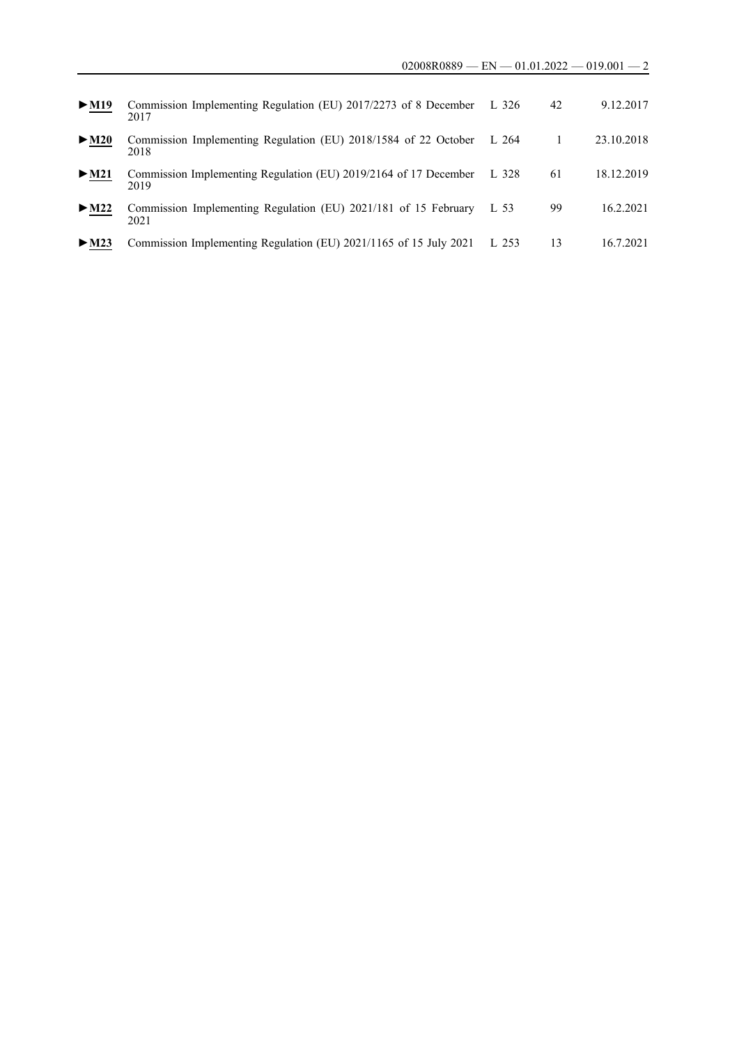| $\blacktriangleright$ M19 | Commission Implementing Regulation (EU) 2017/2273 of 8 December<br>2017  | L 326 | 42 | 9.12.2017  |
|---------------------------|--------------------------------------------------------------------------|-------|----|------------|
| $\blacktriangleright$ M20 | Commission Implementing Regulation (EU) 2018/1584 of 22 October<br>2018  | L 264 |    | 23.10.2018 |
| $\triangleright$ M21      | Commission Implementing Regulation (EU) 2019/2164 of 17 December<br>2019 | L 328 | 61 | 18.12.2019 |
| $\blacktriangleright$ M22 | Commission Implementing Regulation (EU) 2021/181 of 15 February<br>2021  | L 53  | 99 | 16.2.2021  |
| $\triangleright$ M23      | Commission Implementing Regulation (EU) 2021/1165 of 15 July 2021        | L 253 | 13 | 16.7.2021  |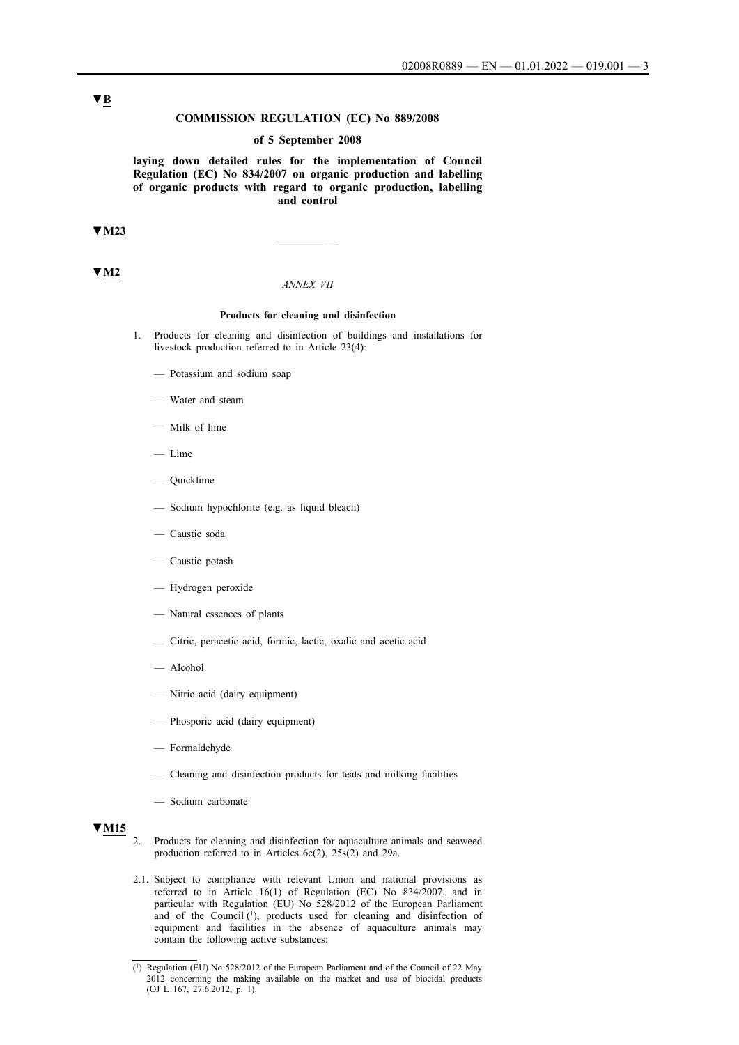#### **COMMISSION REGULATION (EC) No 889/2008**

#### **of 5 September 2008**

**laying down detailed rules for the implementation of Council Regulation (EC) No 834/2007 on organic production and labelling of organic products with regard to organic production, labelling and control** 

# **▼M23** \_\_\_\_\_\_\_\_\_\_

### **▼M2**

#### *ANNEX VII*

#### **Products for cleaning and disinfection**

- 1. Products for cleaning and disinfection of buildings and installations for livestock production referred to in Article 23(4):
	- Potassium and sodium soap
	- Water and steam
	- Milk of lime
	- Lime
	- Quicklime
	- Sodium hypochlorite (e.g. as liquid bleach)
	- Caustic soda
	- Caustic potash
	- Hydrogen peroxide
	- Natural essences of plants
	- Citric, peracetic acid, formic, lactic, oxalic and acetic acid
	- Alcohol
	- Nitric acid (dairy equipment)
	- Phosporic acid (dairy equipment)
	- Formaldehyde
	- Cleaning and disinfection products for teats and milking facilities
	- Sodium carbonate

# **▼M15**

- 2. Products for cleaning and disinfection for aquaculture animals and seaweed production referred to in Articles 6e(2), 25s(2) and 29a.
- 2.1. Subject to compliance with relevant Union and national provisions as referred to in Article 16(1) of Regulation (EC) No 834/2007, and in particular with Regulation (EU) No 528/2012 of the European Parliament and of the Council (1), products used for cleaning and disinfection of equipment and facilities in the absence of aquaculture animals may contain the following active substances:

# **▼B**

<sup>(1)</sup> Regulation (EU) No 528/2012 of the European Parliament and of the Council of 22 May 2012 concerning the making available on the market and use of biocidal products (OJ L 167, 27.6.2012, p. 1).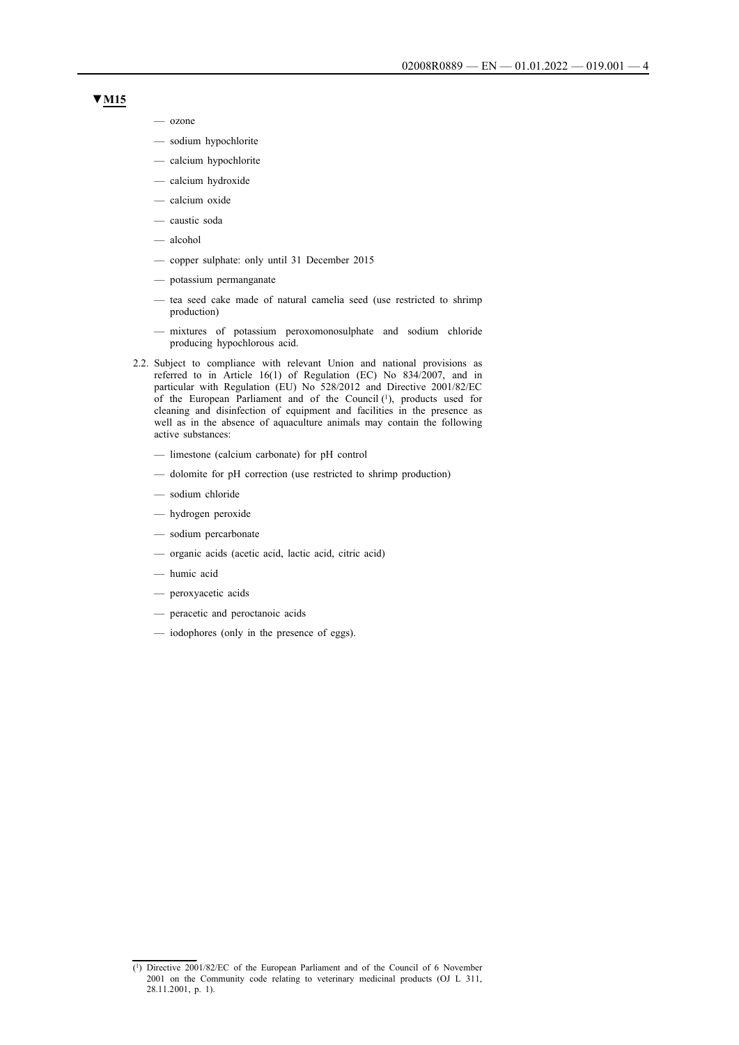### **▼M15**

- ozone
- sodium hypochlorite
- calcium hypochlorite
- calcium hydroxide
- calcium oxide
- caustic soda
- alcohol
- copper sulphate: only until 31 December 2015
- potassium permanganate
- tea seed cake made of natural camelia seed (use restricted to shrimp production)
- mixtures of potassium peroxomonosulphate and sodium chloride producing hypochlorous acid.
- 2.2. Subject to compliance with relevant Union and national provisions as referred to in Article 16(1) of Regulation (EC) No 834/2007, and in particular with Regulation (EU) No 528/2012 and Directive 2001/82/EC of the European Parliament and of the Council (1), products used for cleaning and disinfection of equipment and facilities in the presence as well as in the absence of aquaculture animals may contain the following active substances:
	- limestone (calcium carbonate) for pH control
	- dolomite for pH correction (use restricted to shrimp production)
	- sodium chloride
	- hydrogen peroxide
	- sodium percarbonate
	- organic acids (acetic acid, lactic acid, citric acid)
	- humic acid
	- peroxyacetic acids
	- peracetic and peroctanoic acids
	- iodophores (only in the presence of eggs).

<sup>(1)</sup> Directive 2001/82/EC of the European Parliament and of the Council of 6 November 2001 on the Community code relating to veterinary medicinal products (OJ L 311, 28.11.2001, p. 1).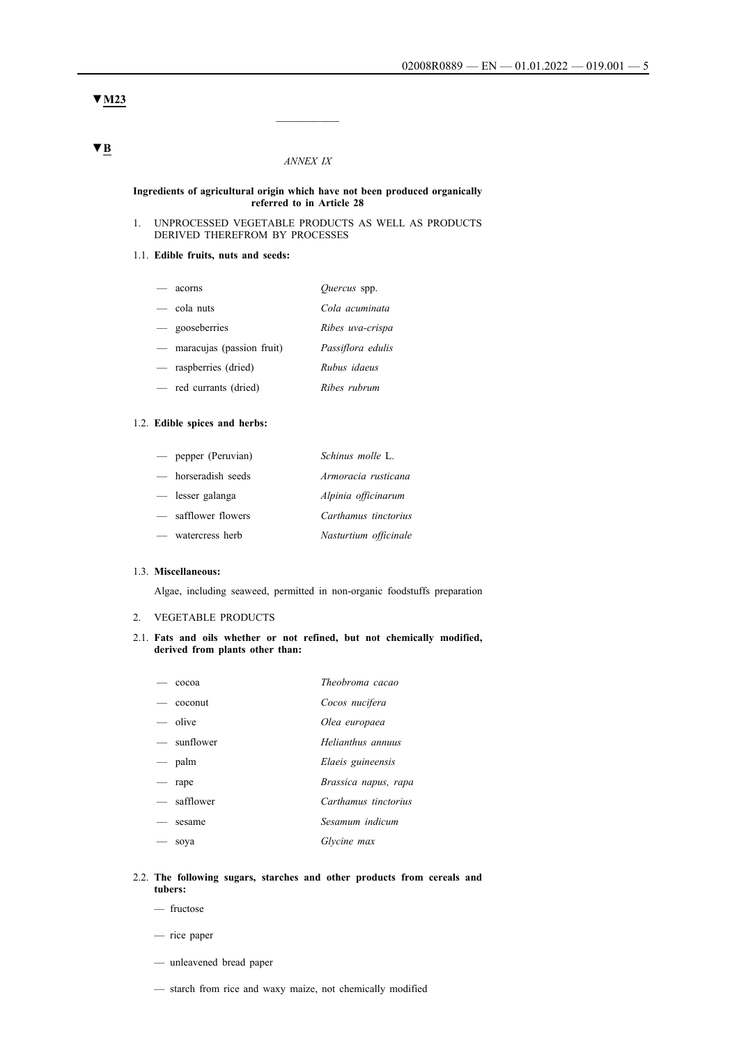#### **▼M23**

#### *ANNEX IX*

 $\frac{1}{2}$ 

#### **Ingredients of agricultural origin which have not been produced organically referred to in Article 28**

#### 1. UNPROCESSED VEGETABLE PRODUCTS AS WELL AS PRODUCTS DERIVED THEREFROM BY PROCESSES

## 1.1. **Edible fruits, nuts and seeds:**

| acorns                        | <i>Ouercus</i> spp. |
|-------------------------------|---------------------|
| $-$ cola nuts                 | Cola acuminata      |
| — gooseberries                | Ribes uva-crispa    |
| $-$ maracujas (passion fruit) | Passiflora edulis   |
| — raspberries (dried)         | Rubus idaeus        |
| — red currants (dried)        | Ribes rubrum        |

#### 1.2. **Edible spices and herbs:**

| $-$ pepper (Peruvian) | Schinus molle L.      |
|-----------------------|-----------------------|
| — horseradish seeds   | Armoracia rusticana   |
| — lesser galanga      | Alpinia officinarum   |
| — safflower flowers   | Carthamus tinctorius  |
| - watercress herb     | Nasturtium officinale |

#### 1.3. **Miscellaneous:**

Algae, including seaweed, permitted in non-organic foodstuffs preparation

#### 2. VEGETABLE PRODUCTS

#### 2.1. **Fats and oils whether or not refined, but not chemically modified, derived from plants other than:**

|                                   | cocoa       | Theobroma cacao      |
|-----------------------------------|-------------|----------------------|
|                                   | — coconut   | Cocos nucifera       |
|                                   | - olive     | Olea europaea        |
|                                   | — sunflower | Helianthus annuus    |
|                                   | $-$ palm    | Elaeis guineensis    |
| $\overbrace{\phantom{aaaaa}}^{x}$ | rape        | Brassica napus, rapa |
|                                   | — safflower | Carthamus tinctorius |
|                                   | sesame      | Sesamum indicum      |
|                                   | soya        | Glycine max          |
|                                   |             |                      |

#### 2.2. **The following sugars, starches and other products from cereals and tubers:**

- fructose
- rice paper
- unleavened bread paper
- starch from rice and waxy maize, not chemically modified

# **▼B**